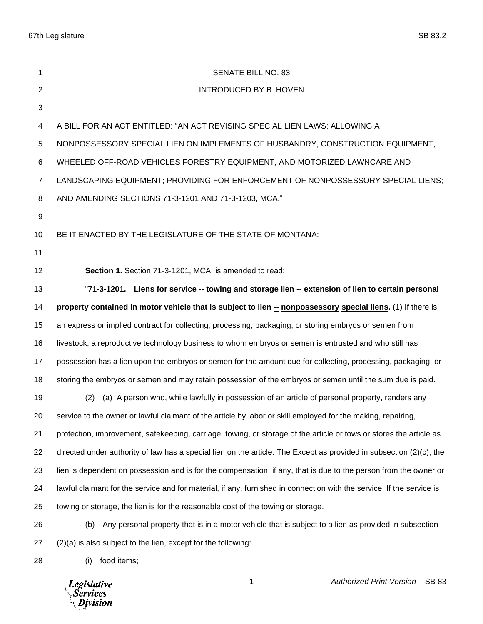| 1              | SENATE BILL NO. 83                                                                                                     |
|----------------|------------------------------------------------------------------------------------------------------------------------|
| 2              | <b>INTRODUCED BY B. HOVEN</b>                                                                                          |
| 3              |                                                                                                                        |
| 4              | A BILL FOR AN ACT ENTITLED: "AN ACT REVISING SPECIAL LIEN LAWS; ALLOWING A                                             |
| 5              | NONPOSSESSORY SPECIAL LIEN ON IMPLEMENTS OF HUSBANDRY, CONSTRUCTION EQUIPMENT,                                         |
| 6              | WHEELED OFF-ROAD VEHICLES-FORESTRY EQUIPMENT, AND MOTORIZED LAWNCARE AND                                               |
| $\overline{7}$ | LANDSCAPING EQUIPMENT; PROVIDING FOR ENFORCEMENT OF NONPOSSESSORY SPECIAL LIENS;                                       |
| 8              | AND AMENDING SECTIONS 71-3-1201 AND 71-3-1203, MCA."                                                                   |
| 9              |                                                                                                                        |
| 10             | BE IT ENACTED BY THE LEGISLATURE OF THE STATE OF MONTANA:                                                              |
| 11             |                                                                                                                        |
| 12             | Section 1. Section 71-3-1201, MCA, is amended to read:                                                                 |
| 13             | "71-3-1201. Liens for service -- towing and storage lien -- extension of lien to certain personal                      |
| 14             | property contained in motor vehicle that is subject to lien -- nonpossessory special liens. (1) If there is            |
| 15             | an express or implied contract for collecting, processing, packaging, or storing embryos or semen from                 |
| 16             | livestock, a reproductive technology business to whom embryos or semen is entrusted and who still has                  |
| 17             | possession has a lien upon the embryos or semen for the amount due for collecting, processing, packaging, or           |
| 18             | storing the embryos or semen and may retain possession of the embryos or semen until the sum due is paid.              |
| 19             | (a) A person who, while lawfully in possession of an article of personal property, renders any<br>(2)                  |
| 20             | service to the owner or lawful claimant of the article by labor or skill employed for the making, repairing,           |
| 21             | protection, improvement, safekeeping, carriage, towing, or storage of the article or tows or stores the article as     |
| 22             | directed under authority of law has a special lien on the article. The Except as provided in subsection $(2)(c)$ , the |
| 23             | lien is dependent on possession and is for the compensation, if any, that is due to the person from the owner or       |
| 24             | lawful claimant for the service and for material, if any, furnished in connection with the service. If the service is  |
| 25             | towing or storage, the lien is for the reasonable cost of the towing or storage.                                       |
| 26             | Any personal property that is in a motor vehicle that is subject to a lien as provided in subsection<br>(b)            |
| 27             | (2)(a) is also subject to the lien, except for the following:                                                          |
| 28             | food items;<br>(i)                                                                                                     |

*Legislative*<br>Services<br>*Division*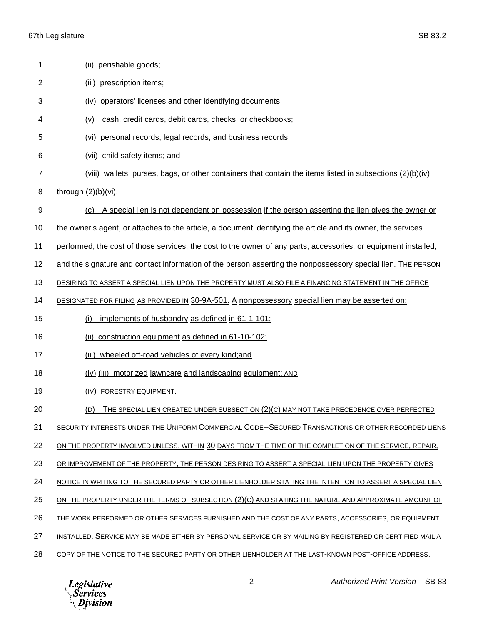| 1              | (ii) perishable goods;                                                                                          |
|----------------|-----------------------------------------------------------------------------------------------------------------|
| $\overline{2}$ | (iii) prescription items;                                                                                       |
| 3              | operators' licenses and other identifying documents;<br>(iv)                                                    |
| 4              | cash, credit cards, debit cards, checks, or checkbooks;<br>(v)                                                  |
| 5              | personal records, legal records, and business records;<br>(vi)                                                  |
| 6              | (vii) child safety items; and                                                                                   |
| $\overline{7}$ | (viii) wallets, purses, bags, or other containers that contain the items listed in subsections (2)(b)(iv)       |
| 8              | through $(2)(b)(vi)$ .                                                                                          |
| 9              | A special lien is not dependent on possession if the person asserting the lien gives the owner or<br>(c)        |
| 10             | the owner's agent, or attaches to the article, a document identifying the article and its owner, the services   |
| 11             | performed, the cost of those services, the cost to the owner of any parts, accessories, or equipment installed, |
| 12             | and the signature and contact information of the person asserting the nonpossessory special lien. The PERSON    |
| 13             | DESIRING TO ASSERT A SPECIAL LIEN UPON THE PROPERTY MUST ALSO FILE A FINANCING STATEMENT IN THE OFFICE          |
| 14             | DESIGNATED FOR FILING AS PROVIDED IN 30-9A-501. A nonpossessory special lien may be asserted on:                |
| 15             | implements of husbandry as defined in 61-1-101;<br>(i)                                                          |
| 16             | construction equipment as defined in 61-10-102;<br>(ii)                                                         |
| 17             | (iii) wheeled off-road vehicles of every kind; and                                                              |
| 18             | (iv) (III) motorized lawncare and landscaping equipment; AND                                                    |
| 19             | (IV) FORESTRY EQUIPMENT.                                                                                        |
| 20             | (D) THE SPECIAL LIEN CREATED UNDER SUBSECTION (2)(C) MAY NOT TAKE PRECEDENCE OVER PERFECTED                     |
| 21             | SECURITY INTERESTS UNDER THE UNIFORM COMMERCIAL CODE--SECURED TRANSACTIONS OR OTHER RECORDED LIENS              |
| 22             | ON THE PROPERTY INVOLVED UNLESS, WITHIN 30 DAYS FROM THE TIME OF THE COMPLETION OF THE SERVICE, REPAIR,         |
| 23             | OR IMPROVEMENT OF THE PROPERTY, THE PERSON DESIRING TO ASSERT A SPECIAL LIEN UPON THE PROPERTY GIVES            |
| 24             | NOTICE IN WRITING TO THE SECURED PARTY OR OTHER LIENHOLDER STATING THE INTENTION TO ASSERT A SPECIAL LIEN       |
| 25             | ON THE PROPERTY UNDER THE TERMS OF SUBSECTION (2)(C) AND STATING THE NATURE AND APPROXIMATE AMOUNT OF           |
| 26             | THE WORK PERFORMED OR OTHER SERVICES FURNISHED AND THE COST OF ANY PARTS, ACCESSORIES, OR EQUIPMENT             |
| 27             | INSTALLED. SERVICE MAY BE MADE EITHER BY PERSONAL SERVICE OR BY MAILING BY REGISTERED OR CERTIFIED MAIL A       |
| 28             | COPY OF THE NOTICE TO THE SECURED PARTY OR OTHER LIENHOLDER AT THE LAST-KNOWN POST-OFFICE ADDRESS.              |

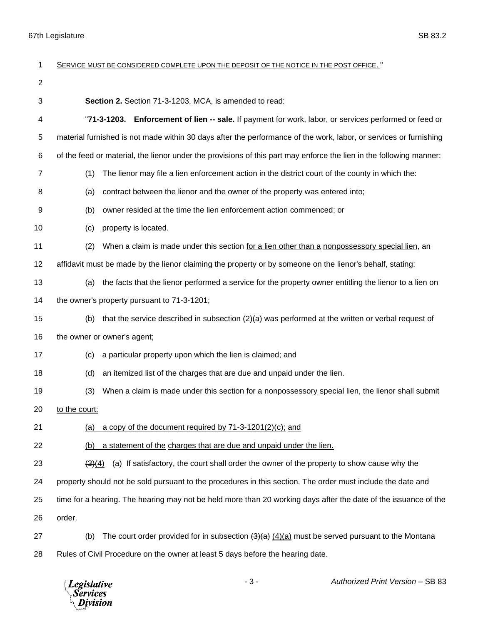| 1              | SERVICE MUST BE CONSIDERED COMPLETE UPON THE DEPOSIT OF THE NOTICE IN THE POST OFFICE.                              |
|----------------|---------------------------------------------------------------------------------------------------------------------|
| $\overline{2}$ |                                                                                                                     |
| 3              | Section 2. Section 71-3-1203, MCA, is amended to read:                                                              |
| 4              | "71-3-1203. Enforcement of lien -- sale. If payment for work, labor, or services performed or feed or               |
| 5              | material furnished is not made within 30 days after the performance of the work, labor, or services or furnishing   |
| 6              | of the feed or material, the lienor under the provisions of this part may enforce the lien in the following manner: |
| 7              | (1)<br>The lienor may file a lien enforcement action in the district court of the county in which the:              |
| 8              | contract between the lienor and the owner of the property was entered into;<br>(a)                                  |
| 9              | owner resided at the time the lien enforcement action commenced; or<br>(b)                                          |
| 10             | property is located.<br>(c)                                                                                         |
| 11             | (2)<br>When a claim is made under this section for a lien other than a nonpossessory special lien, an               |
| 12             | affidavit must be made by the lienor claiming the property or by someone on the lienor's behalf, stating:           |
| 13             | the facts that the lienor performed a service for the property owner entitling the lienor to a lien on<br>(a)       |
| 14             | the owner's property pursuant to 71-3-1201;                                                                         |
| 15             | that the service described in subsection $(2)(a)$ was performed at the written or verbal request of<br>(b)          |
| 16             | the owner or owner's agent;                                                                                         |
| 17             | a particular property upon which the lien is claimed; and<br>(c)                                                    |
| 18             | an itemized list of the charges that are due and unpaid under the lien.<br>(d)                                      |
| 19             | When a claim is made under this section for a nonpossessory special lien, the lienor shall submit<br>(3)            |
| 20             | to the court:                                                                                                       |
| 21             | a copy of the document required by 71-3-1201(2)(c); and<br>(a)                                                      |
| 22             | a statement of the charges that are due and unpaid under the lien.<br>(b)                                           |
| 23             | (a) If satisfactory, the court shall order the owner of the property to show cause why the<br>(3)(4)                |
| 24             | property should not be sold pursuant to the procedures in this section. The order must include the date and         |
| 25             | time for a hearing. The hearing may not be held more than 20 working days after the date of the issuance of the     |
| 26             | order.                                                                                                              |
| 27             | The court order provided for in subsection $(3)(a)$ $(4)(a)$ must be served pursuant to the Montana<br>(b)          |
| 28             | Rules of Civil Procedure on the owner at least 5 days before the hearing date.                                      |